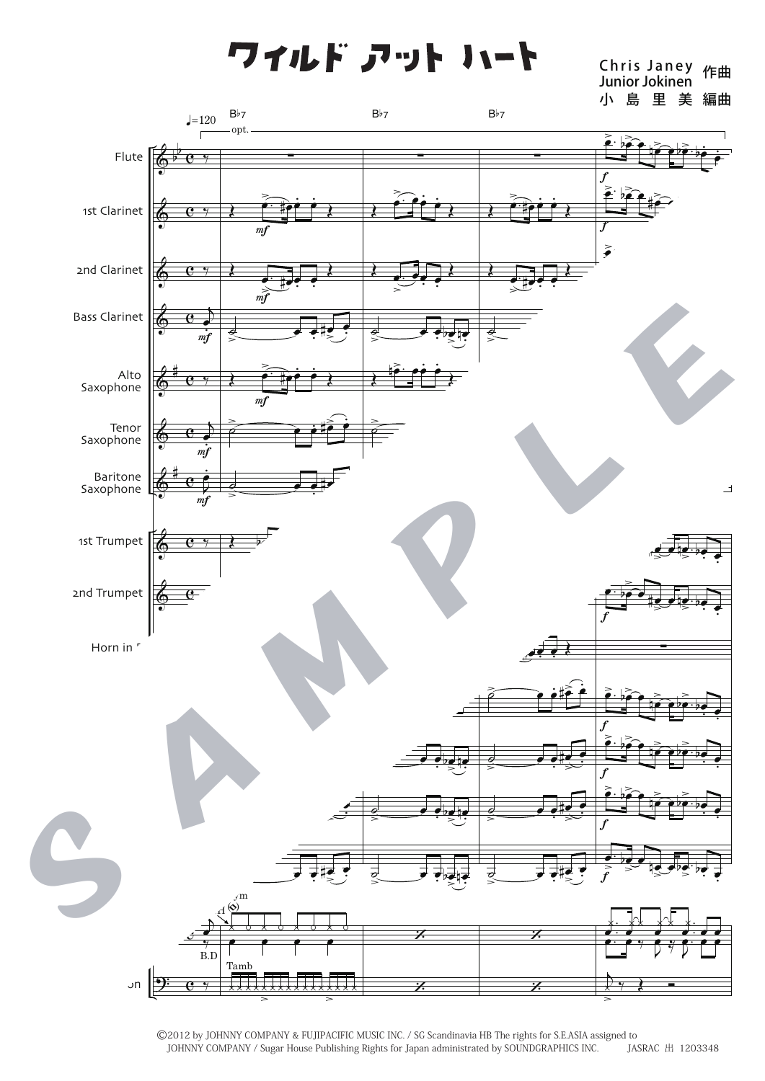ワイルド アット ハート

Chris Janey 作曲<br>Junior Jokinen 小島里美編曲



©2012 by JOHNNY COMPANY & FUJIPACIFIC MUSIC INC. / SG Scandinavia HB The rights for S.E.ASIA assigned to JOHNNY COMPANY / Sugar House Publishing Rights for Japan administrated by SOUNDGRAPHICS INC. JASRAC 出 1203348